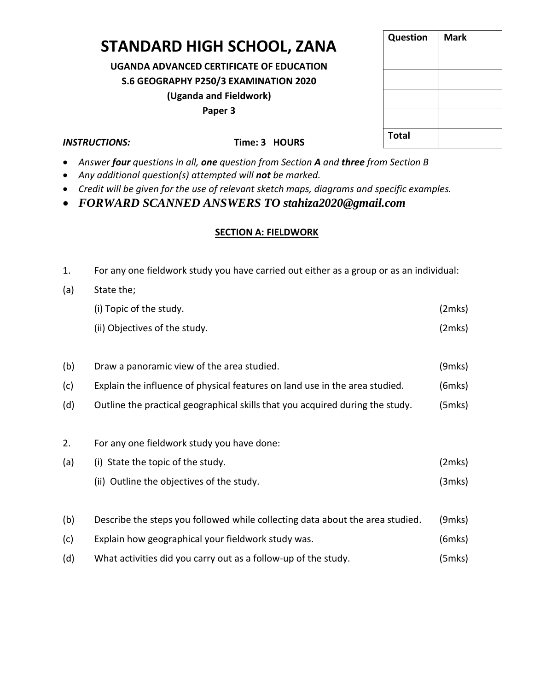# **STANDARD HIGH SCHOOL, ZANA**

**UGANDA ADVANCED CERTIFICATE OF EDUCATION S.6 GEOGRAPHY P250/3 EXAMINATION 2020 (Uganda and Fieldwork) Paper 3**

| <b>Question</b> | <b>Mark</b> |
|-----------------|-------------|
|                 |             |
|                 |             |
|                 |             |
|                 |             |
| <b>Total</b>    |             |

## *INSTRUCTIONS:* **INSTRUCTIONS: Time: 3 HOURS**

- *Answer four questions in all, one question from Section A and three from Section B*
- *Any additional question(s) attempted will not be marked.*
- *Credit will be given for the use of relevant sketch maps, diagrams and specific examples.*
- *FORWARD SCANNED ANSWERS TO stahiza2020@gmail.com*

## **SECTION A: FIELDWORK**

- 1. For any one fieldwork study you have carried out either as a group or as an individual:
- (a) State the;

| (i) Topic of the study.       | (2mks) |
|-------------------------------|--------|
| (ii) Objectives of the study. | (2mks) |

- (b) Draw a panoramic view of the area studied. (9mks)
- (c) Explain the influence of physical features on land use in the area studied. (6mks)
- (d) Outline the practical geographical skills that you acquired during the study. (5mks)
- 2. For any one fieldwork study you have done:
- (a) (i) State the topic of the study. (2mks) (ii) Outline the objectives of the study. (3mks)
- (b) Describe the steps you followed while collecting data about the area studied. (9mks)
- (c) Explain how geographical your fieldwork study was. (6mks)
- (d) What activities did you carry out as a follow-up of the study. (5mks)